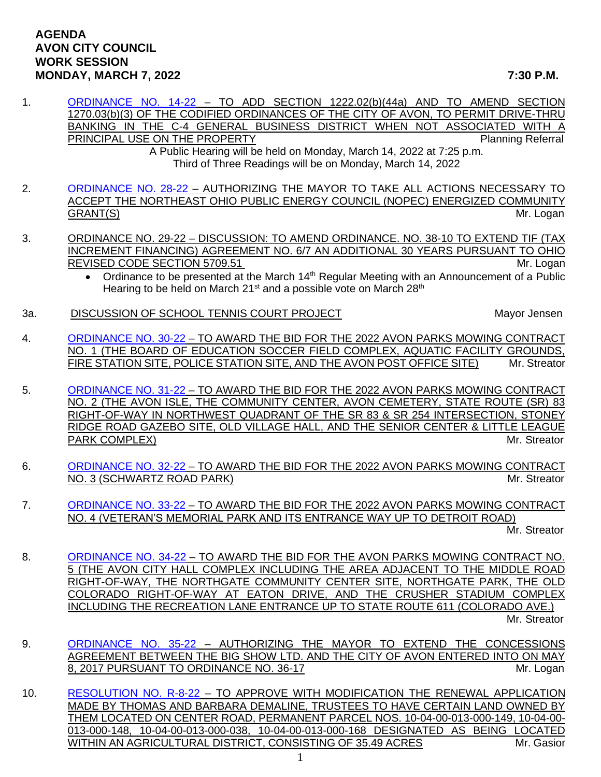## **AGENDA AVON CITY COUNCIL WORK SESSION MONDAY, MARCH 7, 2022 7:30 P.M.**

1. [ORDINANCE NO. 14-22](https://www.cityofavon.com/DocumentCenter/View/7612/Ordinance-No-14-22-Drive-thru-Teller-Legislation) - TO ADD SECTION 1222.02(b)(44a) AND TO AMEND SECTION 1270.03(b)(3) OF THE CODIFIED ORDINANCES OF THE CITY OF AVON, TO PERMIT DRIVE-THRU BANKING IN THE C-4 GENERAL BUSINESS DISTRICT WHEN NOT ASSOCIATED WITH A PRINCIPAL USE ON THE PROPERTY **PRINCIPAL USE ON THE PROPERTY** 

A Public Hearing will be held on Monday, March 14, 2022 at 7:25 p.m. Third of Three Readings will be on Monday, March 14, 2022

- 2. [ORDINANCE NO. 28-22](https://www.cityofavon.com/DocumentCenter/View/7650/Ordinance-No-28-22---NOPEC-COMMUNITY-GRANT) AUTHORIZING THE MAYOR TO TAKE ALL ACTIONS NECESSARY TO ACCEPT THE NORTHEAST OHIO PUBLIC ENERGY COUNCIL (NOPEC) ENERGIZED COMMUNITY GRANT(S) Mr. Logan
- 3. ORDINANCE NO. 29-22 DISCUSSION: TO AMEND ORDINANCE. NO. 38-10 TO EXTEND TIF (TAX INCREMENT FINANCING) AGREEMENT NO. 6/7 AN ADDITIONAL 30 YEARS PURSUANT TO OHIO REVISED CODE SECTION 5709.51 Mr. Logan
	- Ordinance to be presented at the March 14<sup>th</sup> Regular Meeting with an Announcement of a Public Hearing to be held on March 21<sup>st</sup> and a possible vote on March 28<sup>th</sup>
- 3a. 
DISCUSSION OF SCHOOL TENNIS COURT PROJECT

Watch the Mayor Jensen

4. [ORDINANCE NO. 30-22](https://www.cityofavon.com/DocumentCenter/View/7651/Ordinance-No-30-22---Award-Bid---Mowing-Contract-No-1) – TO AWARD THE BID FOR THE 2022 AVON PARKS MOWING CONTRACT NO. 1 (THE BOARD OF EDUCATION SOCCER FIELD COMPLEX, AQUATIC FACILITY GROUNDS, FIRE STATION SITE, POLICE STATION SITE, AND THE AVON POST OFFICE SITE) Mr. Streator

5. [ORDINANCE NO. 31-22](https://www.cityofavon.com/DocumentCenter/View/7652/Ordinance-No-31-22---Award-Bid---Mowing-Contract-No-2) – TO AWARD THE BID FOR THE 2022 AVON PARKS MOWING CONTRACT NO. 2 (THE AVON ISLE, THE COMMUNITY CENTER, AVON CEMETERY, STATE ROUTE (SR) 83 RIGHT-OF-WAY IN NORTHWEST QUADRANT OF THE SR 83 & SR 254 INTERSECTION, STONEY RIDGE ROAD GAZEBO SITE, OLD VILLAGE HALL, AND THE SENIOR CENTER & LITTLE LEAGUE PARK COMPLEX) and the streater and the streater and the streater and the streater and the streater and the streater and the streater and the streater and the streater and the streater and the streater and the streater and

- 6. [ORDINANCE NO. 32-22](https://www.cityofavon.com/DocumentCenter/View/7653/Ordinance-No-32-22---Award-Bid---Mowing-Contract-No-3) TO AWARD THE BID FOR THE 2022 AVON PARKS MOWING CONTRACT NO. 3 (SCHWARTZ ROAD PARK) MILL STREAT AND RESERVE THE MILL STREAT MILL STREAT AND MILL STREAT AND MILL STREAT
- 7. [ORDINANCE NO. 33-22](https://www.cityofavon.com/DocumentCenter/View/7654/Ordinance-No-33-22---Award-Bid---Mowing-Contract-No-4) TO AWARD THE BID FOR THE 2022 AVON PARKS MOWING CONTRACT NO. 4 (VETERAN'S MEMORIAL PARK AND ITS ENTRANCE WAY UP TO DETROIT ROAD)

Mr. Streator

- 8. [ORDINANCE NO. 34-22](https://www.cityofavon.com/DocumentCenter/View/7655/Ordinance-No-34-22---Award-Bid---Mowing-Contract-No-5) TO AWARD THE BID FOR THE AVON PARKS MOWING CONTRACT NO. 5 (THE AVON CITY HALL COMPLEX INCLUDING THE AREA ADJACENT TO THE MIDDLE ROAD RIGHT-OF-WAY, THE NORTHGATE COMMUNITY CENTER SITE, NORTHGATE PARK, THE OLD COLORADO RIGHT-OF-WAY AT EATON DRIVE, AND THE CRUSHER STADIUM COMPLEX INCLUDING THE RECREATION LANE ENTRANCE UP TO STATE ROUTE 611 (COLORADO AVE.) Mr. Streator
- 9. [ORDINANCE NO. 35-22](https://www.cityofavon.com/DocumentCenter/View/7669/Ordinance-No-35-22-Big-Show-Extension-2022) AUTHORIZING THE MAYOR TO EXTEND THE CONCESSIONS AGREEMENT BETWEEN THE BIG SHOW LTD. AND THE CITY OF AVON ENTERED INTO ON MAY 8, 2017 PURSUANT TO ORDINANCE NO. 36-17 MILLOUIS CONSUMER SAN MILLOUIS AND MILLOUIS
- 10. [RESOLUTION NO. R-8-22](https://www.cityofavon.com/DocumentCenter/View/7662/Resolution-No-R-8-22-Demaline---Thomas-Barbara---Agr-Dist) TO APPROVE WITH MODIFICATION THE RENEWAL APPLICATION MADE BY THOMAS AND BARBARA DEMALINE, TRUSTEES TO HAVE CERTAIN LAND OWNED BY THEM LOCATED ON CENTER ROAD, PERMANENT PARCEL NOS. 10-04-00-013-000-149, 10-04-00- 013-000-148, 10-04-00-013-000-038, 10-04-00-013-000-168 DESIGNATED AS BEING LOCATED WITHIN AN AGRICULTURAL DISTRICT, CONSISTING OF 35.49 ACRES \_\_\_\_\_\_\_\_\_\_\_\_\_\_\_Mr. Gasior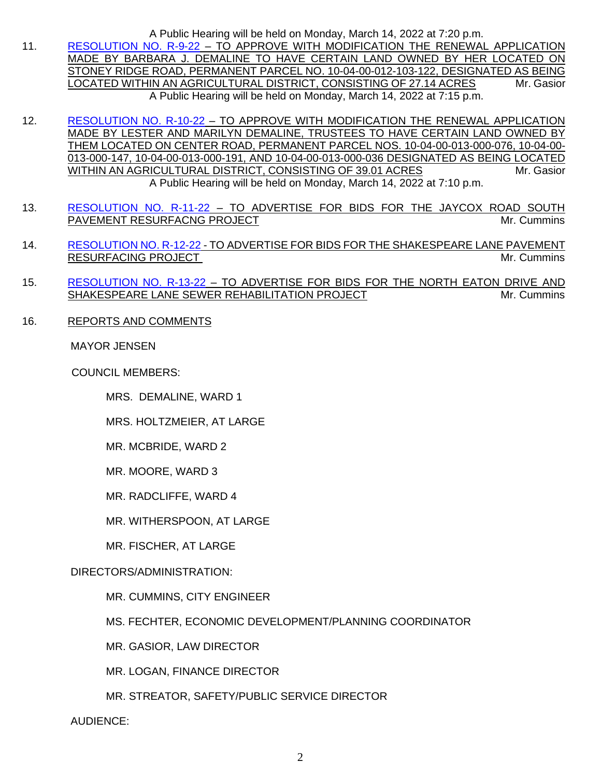A Public Hearing will be held on Monday, March 14, 2022 at 7:20 p.m.

- 11. [RESOLUTION NO. R-9-22](https://www.cityofavon.com/DocumentCenter/View/7663/Resolution-No-R-9-22-Demaline-Barbara---Agr-Dist) TO APPROVE WITH MODIFICATION THE RENEWAL APPLICATION MADE BY BARBARA J. DEMALINE TO HAVE CERTAIN LAND OWNED BY HER LOCATED ON STONEY RIDGE ROAD, PERMANENT PARCEL NO. 10-04-00-012-103-122, DESIGNATED AS BEING LOCATED WITHIN AN AGRICULTURAL DISTRICT, CONSISTING OF 27.14 ACRES Mr. Gasior A Public Hearing will be held on Monday, March 14, 2022 at 7:15 p.m.
- 12. [RESOLUTION NO. R-10-22](https://www.cityofavon.com/DocumentCenter/View/7664/Resolution-No-R-10-22-Demaline-Lester-Marilyn---Agr-Dist) TO APPROVE WITH MODIFICATION THE RENEWAL APPLICATION MADE BY LESTER AND MARILYN DEMALINE, TRUSTEES TO HAVE CERTAIN LAND OWNED BY THEM LOCATED ON CENTER ROAD, PERMANENT PARCEL NOS. 10-04-00-013-000-076, 10-04-00- 013-000-147, 10-04-00-013-000-191, AND 10-04-00-013-000-036 DESIGNATED AS BEING LOCATED WITHIN AN AGRICULTURAL DISTRICT, CONSISTING OF 39.01 ACRES MITHING AND Mr. Gasior A Public Hearing will be held on Monday, March 14, 2022 at 7:10 p.m.
- 13. [RESOLUTION NO. R-11-22](https://www.cityofavon.com/DocumentCenter/View/7665/Resolution-No-R-11-22---Jaycox-South-Resurfacing-Bid-Leg) TO ADVERTISE FOR BIDS FOR THE JAYCOX ROAD SOUTH PAVEMENT RESURFACNG PROJECT NATURAl CONTROL COMMINS AND MY. Cummins
- 14. [RESOLUTION NO. R-12-22](https://www.cityofavon.com/DocumentCenter/View/7666/Resolution-No-R-12-22---Shakespeare-Resurfacing-Bid-Leg) TO ADVERTISE FOR BIDS FOR THE SHAKESPEARE LANE PAVEMENT RESURFACING PROJECT **And a struck of the set of the set of the set of the set of the set of the set of the set of the set of the set of the set of the set of the set of the set of the set of the set of the set of the set o**
- 15. [RESOLUTION NO. R-13-22](https://www.cityofavon.com/DocumentCenter/View/7667/Resolution-No-R-13-22---North-Eaton-Shakespeare-San-Sewer-Relining-Bid) TO ADVERTISE FOR BIDS FOR THE NORTH EATON DRIVE AND SHAKESPEARE LANE SEWER REHABILITATION PROJECT **All and the Cummins** Mr. Cummins
- 16. REPORTS AND COMMENTS

MAYOR JENSEN

COUNCIL MEMBERS:

MRS. DEMALINE, WARD 1

MRS. HOLTZMEIER, AT LARGE

MR. MCBRIDE, WARD 2

MR. MOORE, WARD 3

- MR. RADCLIFFE, WARD 4
- MR. WITHERSPOON, AT LARGE
- MR. FISCHER, AT LARGE

## DIRECTORS/ADMINISTRATION:

- MR. CUMMINS, CITY ENGINEER
- MS. FECHTER, ECONOMIC DEVELOPMENT/PLANNING COORDINATOR
- MR. GASIOR, LAW DIRECTOR
- MR. LOGAN, FINANCE DIRECTOR
- MR. STREATOR, SAFETY/PUBLIC SERVICE DIRECTOR

AUDIENCE: